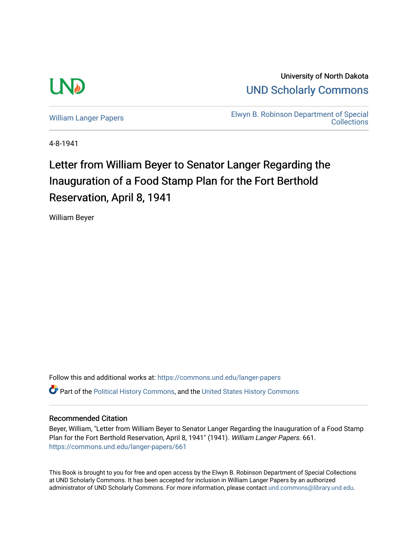

University of North Dakota [UND Scholarly Commons](https://commons.und.edu/) 

[William Langer Papers](https://commons.und.edu/langer-papers) **Elwyn B. Robinson Department of Special** [Collections](https://commons.und.edu/archives) 

4-8-1941

## Letter from William Beyer to Senator Langer Regarding the Inauguration of a Food Stamp Plan for the Fort Berthold Reservation, April 8, 1941

William Beyer

Follow this and additional works at: [https://commons.und.edu/langer-papers](https://commons.und.edu/langer-papers?utm_source=commons.und.edu%2Flanger-papers%2F661&utm_medium=PDF&utm_campaign=PDFCoverPages)  **C** Part of the [Political History Commons,](https://network.bepress.com/hgg/discipline/505?utm_source=commons.und.edu%2Flanger-papers%2F661&utm_medium=PDF&utm_campaign=PDFCoverPages) and the [United States History Commons](https://network.bepress.com/hgg/discipline/495?utm_source=commons.und.edu%2Flanger-papers%2F661&utm_medium=PDF&utm_campaign=PDFCoverPages)

## Recommended Citation

Beyer, William, "Letter from William Beyer to Senator Langer Regarding the Inauguration of a Food Stamp Plan for the Fort Berthold Reservation, April 8, 1941" (1941). William Langer Papers. 661. [https://commons.und.edu/langer-papers/661](https://commons.und.edu/langer-papers/661?utm_source=commons.und.edu%2Flanger-papers%2F661&utm_medium=PDF&utm_campaign=PDFCoverPages) 

This Book is brought to you for free and open access by the Elwyn B. Robinson Department of Special Collections at UND Scholarly Commons. It has been accepted for inclusion in William Langer Papers by an authorized administrator of UND Scholarly Commons. For more information, please contact [und.commons@library.und.edu.](mailto:und.commons@library.und.edu)